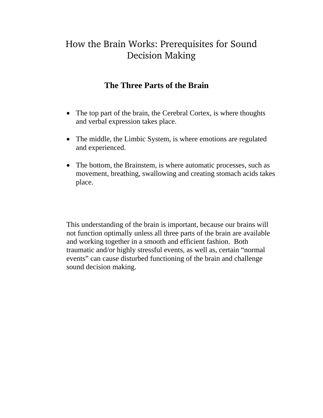# How the Brain Works: Prerequisites for Sound Decision Making

# **The Three Parts of the Brain**

- The top part of the brain, the Cerebral Cortex, is where thoughts and verbal expression takes place.
- The middle, the Limbic System, is where emotions are regulated and experienced.
- The bottom, the Brainstem, is where automatic processes, such as movement, breathing, swallowing and creating stomach acids takes place.

This understanding of the brain is important, because our brains will not function optimally unless all three parts of the brain are available and working together in a smooth and efficient fashion. Both traumatic and/or highly stressful events, as well as, certain "normal events" can cause disturbed functioning of the brain and challenge sound decision making.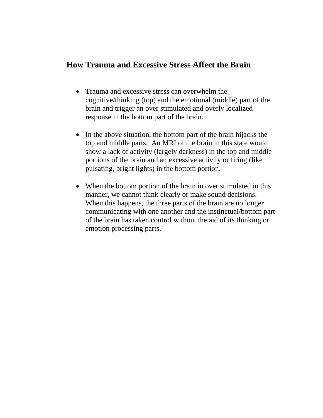### **How Trauma and Excessive Stress Affect the Brain**

- Trauma and excessive stress can overwhelm the cognitive/thinking (top) and the emotional (middle) part of the brain and trigger an over stimulated and overly localized response in the bottom part of the brain.
- In the above situation, the bottom part of the brain hijacks the top and middle parts. An MRI of the brain in this state would show a lack of activity (largely darkness) in the top and middle portions of the brain and an excessive activity or firing (like pulsating, bright lights) in the bottom portion.
- When the bottom portion of the brain in over stimulated in this manner, we cannot think clearly or make sound decisions. When this happens, the three parts of the brain are no longer communicating with one another and the instinctual/bottom part of the brain has taken control without the aid of its thinking or emotion processing parts.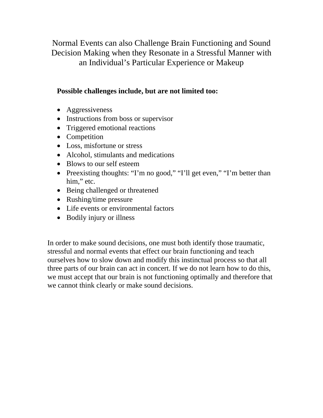Normal Events can also Challenge Brain Functioning and Sound Decision Making when they Resonate in a Stressful Manner with an Individual's Particular Experience or Makeup

### **Possible challenges include, but are not limited too:**

- Aggressiveness
- Instructions from boss or supervisor
- Triggered emotional reactions
- Competition
- Loss, misfortune or stress
- Alcohol, stimulants and medications
- Blows to our self esteem
- Preexisting thoughts: "I'm no good," "I'll get even," "I'm better than him," etc.
- Being challenged or threatened
- Rushing/time pressure
- Life events or environmental factors
- Bodily injury or illness

In order to make sound decisions, one must both identify those traumatic, stressful and normal events that effect our brain functioning and teach ourselves how to slow down and modify this instinctual process so that all three parts of our brain can act in concert. If we do not learn how to do this, we must accept that our brain is not functioning optimally and therefore that we cannot think clearly or make sound decisions.